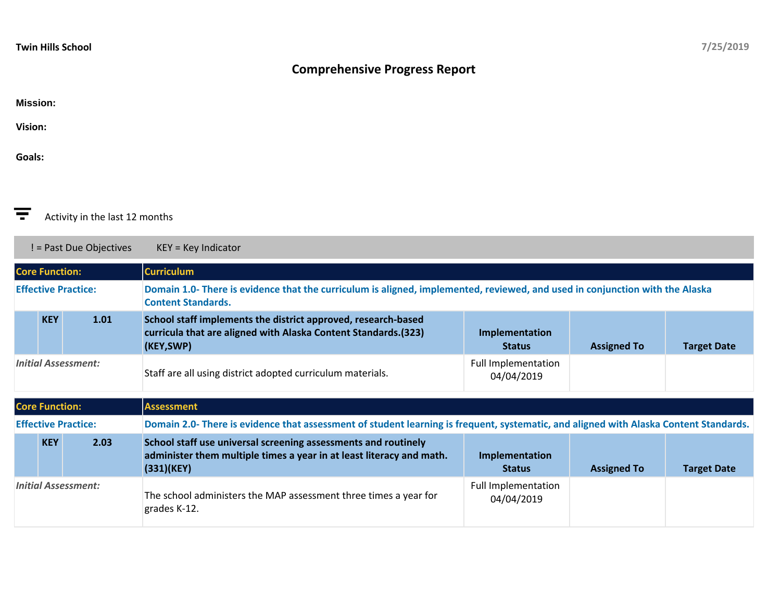## **Comprehensive Progress Report**

## **Mission:**

**Vision:**

**Goals:**



! = Past Due Objectives KEY = Key Indicator

| <b>Core Function:</b>      |            |      | <b>Curriculum</b>                                                                                                                                         |                                          |                    |                    |  |
|----------------------------|------------|------|-----------------------------------------------------------------------------------------------------------------------------------------------------------|------------------------------------------|--------------------|--------------------|--|
| <b>Effective Practice:</b> |            |      | Domain 1.0- There is evidence that the curriculum is aligned, implemented, reviewed, and used in conjunction with the Alaska<br><b>Content Standards.</b> |                                          |                    |                    |  |
|                            | <b>KEY</b> | 1.01 | School staff implements the district approved, research-based<br>curricula that are aligned with Alaska Content Standards. (323)<br>(KEY,SWP)             | Implementation<br><b>Status</b>          | <b>Assigned To</b> | <b>Target Date</b> |  |
| <b>Initial Assessment:</b> |            |      | Staff are all using district adopted curriculum materials.                                                                                                | <b>Full Implementation</b><br>04/04/2019 |                    |                    |  |

|                            |            |      | Staff are all using district adopted curriculum materials.                                                                                           | 04/04/2019                               |                    |                    |  |  |
|----------------------------|------------|------|------------------------------------------------------------------------------------------------------------------------------------------------------|------------------------------------------|--------------------|--------------------|--|--|
| <b>Core Function:</b>      |            |      | Assessment                                                                                                                                           |                                          |                    |                    |  |  |
| <b>Effective Practice:</b> |            |      | Domain 2.0- There is evidence that assessment of student learning is frequent, systematic, and aligned with Alaska Content Standards.                |                                          |                    |                    |  |  |
|                            | <b>KEY</b> | 2.03 | School staff use universal screening assessments and routinely<br>administer them multiple times a year in at least literacy and math.<br>(331)(KEY) | Implementation<br><b>Status</b>          | <b>Assigned To</b> | <b>Target Date</b> |  |  |
| <b>Initial Assessment:</b> |            |      | The school administers the MAP assessment three times a year for<br>grades K-12.                                                                     | <b>Full Implementation</b><br>04/04/2019 |                    |                    |  |  |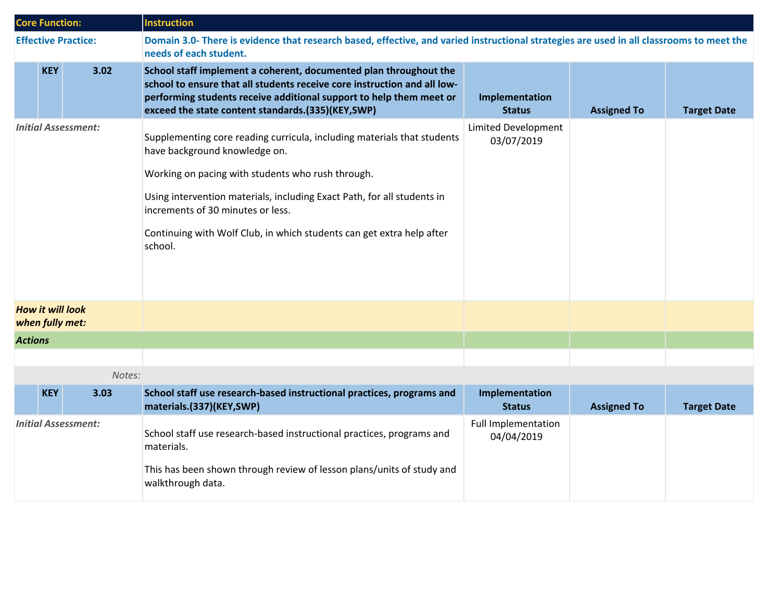| <b>Core Function:</b>                      |            |                            | <b>Instruction</b>                                                                                                                                                                                                                                                                                                                                                |                                          |                    |                    |
|--------------------------------------------|------------|----------------------------|-------------------------------------------------------------------------------------------------------------------------------------------------------------------------------------------------------------------------------------------------------------------------------------------------------------------------------------------------------------------|------------------------------------------|--------------------|--------------------|
|                                            |            | <b>Effective Practice:</b> | Domain 3.0- There is evidence that research based, effective, and varied instructional strategies are used in all classrooms to meet the<br>needs of each student.                                                                                                                                                                                                |                                          |                    |                    |
|                                            | <b>KEY</b> | 3.02                       | School staff implement a coherent, documented plan throughout the<br>school to ensure that all students receive core instruction and all low-<br>performing students receive additional support to help them meet or<br>exceed the state content standards.(335)(KEY,SWP)                                                                                         | Implementation<br><b>Status</b>          | <b>Assigned To</b> | <b>Target Date</b> |
| <b>Initial Assessment:</b>                 |            |                            | Supplementing core reading curricula, including materials that students<br>have background knowledge on.<br>Working on pacing with students who rush through.<br>Using intervention materials, including Exact Path, for all students in<br>increments of 30 minutes or less.<br>Continuing with Wolf Club, in which students can get extra help after<br>school. | <b>Limited Development</b><br>03/07/2019 |                    |                    |
| <b>How it will look</b><br>when fully met: |            |                            |                                                                                                                                                                                                                                                                                                                                                                   |                                          |                    |                    |
| <b>Actions</b>                             |            |                            |                                                                                                                                                                                                                                                                                                                                                                   |                                          |                    |                    |
|                                            |            |                            |                                                                                                                                                                                                                                                                                                                                                                   |                                          |                    |                    |
|                                            |            | Notes:                     |                                                                                                                                                                                                                                                                                                                                                                   |                                          |                    |                    |
|                                            | <b>KEY</b> | 3.03                       | School staff use research-based instructional practices, programs and<br>materials.(337)(KEY,SWP)                                                                                                                                                                                                                                                                 | Implementation<br><b>Status</b>          | <b>Assigned To</b> | <b>Target Date</b> |
| <b>Initial Assessment:</b>                 |            |                            | School staff use research-based instructional practices, programs and<br>materials.<br>This has been shown through review of lesson plans/units of study and<br>walkthrough data.                                                                                                                                                                                 | <b>Full Implementation</b><br>04/04/2019 |                    |                    |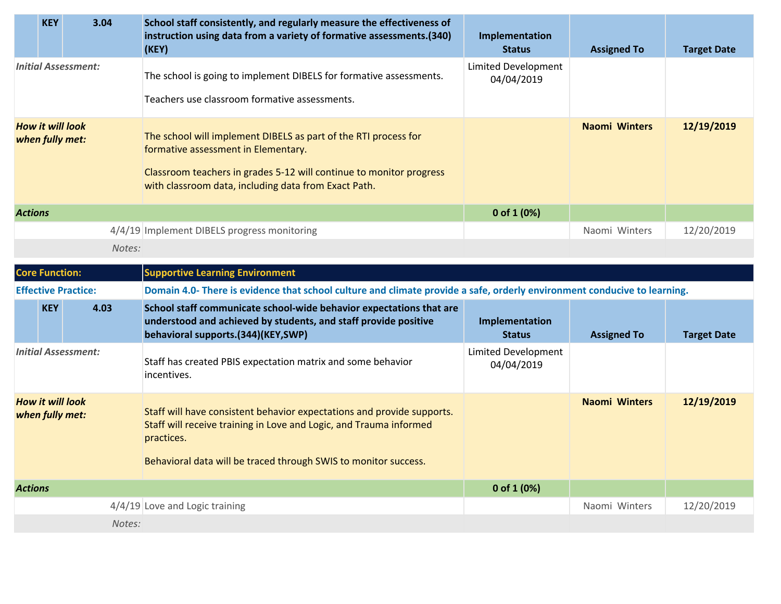|                                            | <b>KEY</b> | 3.04                       | School staff consistently, and regularly measure the effectiveness of<br>instruction using data from a variety of formative assessments.(340)<br>(KEY)                                                                                | Implementation<br><b>Status</b>   | <b>Assigned To</b>   | <b>Target Date</b> |  |
|--------------------------------------------|------------|----------------------------|---------------------------------------------------------------------------------------------------------------------------------------------------------------------------------------------------------------------------------------|-----------------------------------|----------------------|--------------------|--|
| <b>Initial Assessment:</b>                 |            |                            | The school is going to implement DIBELS for formative assessments.                                                                                                                                                                    | Limited Development<br>04/04/2019 |                      |                    |  |
|                                            |            |                            | Teachers use classroom formative assessments.                                                                                                                                                                                         |                                   |                      |                    |  |
| <b>How it will look</b><br>when fully met: |            |                            | The school will implement DIBELS as part of the RTI process for<br>formative assessment in Elementary.<br>Classroom teachers in grades 5-12 will continue to monitor progress<br>with classroom data, including data from Exact Path. |                                   | <b>Naomi Winters</b> | 12/19/2019         |  |
| <b>Actions</b>                             |            |                            |                                                                                                                                                                                                                                       | 0 of $1(0%)$                      |                      |                    |  |
|                                            |            |                            | 4/4/19 Implement DIBELS progress monitoring                                                                                                                                                                                           |                                   | Naomi Winters        | 12/20/2019         |  |
|                                            |            | Notes:                     |                                                                                                                                                                                                                                       |                                   |                      |                    |  |
| <b>Core Function:</b>                      |            |                            | <b>Supportive Learning Environment</b>                                                                                                                                                                                                |                                   |                      |                    |  |
|                                            |            | <b>Effective Practice:</b> | Domain 4.0- There is evidence that school culture and climate provide a safe, orderly environment conducive to learning.                                                                                                              |                                   |                      |                    |  |
|                                            | <b>KEY</b> | 4.03                       | School staff communicate school-wide behavior expectations that are<br>understood and achieved by students, and staff provide positive<br>behavioral supports.(344)(KEY,SWP)                                                          | Implementation<br><b>Status</b>   | <b>Assigned To</b>   | <b>Target Date</b> |  |
| <b>Initial Assessment:</b>                 |            |                            | Staff has created PBIS expectation matrix and some behavior<br>incentives.                                                                                                                                                            | Limited Development<br>04/04/2019 |                      |                    |  |
| <b>How it will look</b><br>when fully met: |            |                            | Staff will have consistent behavior expectations and provide supports.<br>Staff will receive training in Love and Logic, and Trauma informed<br>practices.<br>Behavioral data will be traced through SWIS to monitor success.         |                                   | <b>Naomi Winters</b> | 12/19/2019         |  |
| <b>Actions</b>                             |            |                            |                                                                                                                                                                                                                                       | 0 of 1 $(0%)$                     |                      |                    |  |
|                                            |            |                            | 4/4/19 Love and Logic training                                                                                                                                                                                                        |                                   | Naomi Winters        | 12/20/2019         |  |
| Notes:                                     |            |                            |                                                                                                                                                                                                                                       |                                   |                      |                    |  |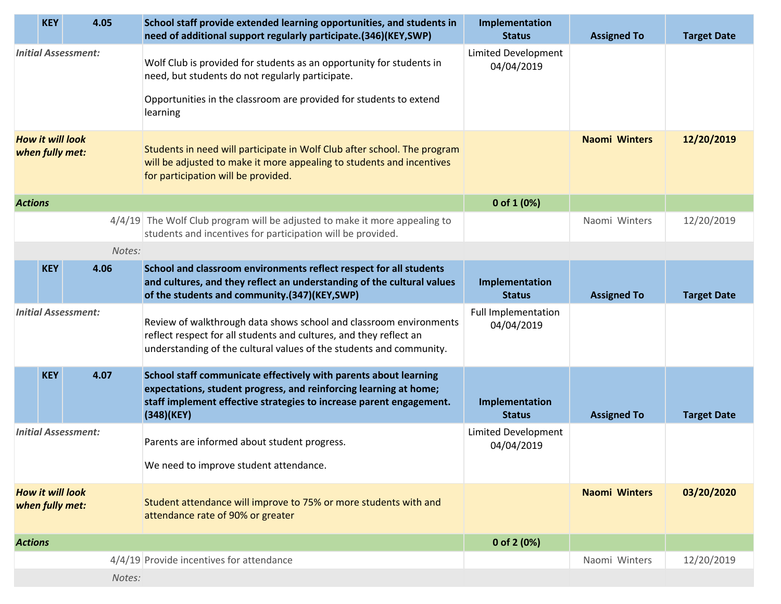|                                            | <b>KEY</b> | 4.05   | School staff provide extended learning opportunities, and students in<br>need of additional support regularly participate.(346)(KEY,SWP)                                                                                   | Implementation<br><b>Status</b>   | <b>Assigned To</b>   | <b>Target Date</b> |
|--------------------------------------------|------------|--------|----------------------------------------------------------------------------------------------------------------------------------------------------------------------------------------------------------------------------|-----------------------------------|----------------------|--------------------|
| <b>Initial Assessment:</b>                 |            |        | Wolf Club is provided for students as an opportunity for students in<br>need, but students do not regularly participate.                                                                                                   | Limited Development<br>04/04/2019 |                      |                    |
|                                            |            |        | Opportunities in the classroom are provided for students to extend<br>learning                                                                                                                                             |                                   |                      |                    |
| <b>How it will look</b><br>when fully met: |            |        | Students in need will participate in Wolf Club after school. The program<br>will be adjusted to make it more appealing to students and incentives<br>for participation will be provided.                                   |                                   | <b>Naomi Winters</b> | 12/20/2019         |
| <b>Actions</b>                             |            |        |                                                                                                                                                                                                                            | 0 of $1(0%)$                      |                      |                    |
|                                            |            |        | $4/4/19$ The Wolf Club program will be adjusted to make it more appealing to<br>students and incentives for participation will be provided.                                                                                |                                   | Naomi Winters        | 12/20/2019         |
|                                            |            | Notes: |                                                                                                                                                                                                                            |                                   |                      |                    |
|                                            | <b>KEY</b> | 4.06   | School and classroom environments reflect respect for all students<br>and cultures, and they reflect an understanding of the cultural values<br>of the students and community.(347)(KEY,SWP)                               | Implementation<br><b>Status</b>   | <b>Assigned To</b>   | <b>Target Date</b> |
| <b>Initial Assessment:</b>                 |            |        | Review of walkthrough data shows school and classroom environments<br>reflect respect for all students and cultures, and they reflect an<br>understanding of the cultural values of the students and community.            | Full Implementation<br>04/04/2019 |                      |                    |
|                                            | <b>KEY</b> | 4.07   | School staff communicate effectively with parents about learning<br>expectations, student progress, and reinforcing learning at home;<br>staff implement effective strategies to increase parent engagement.<br>(348)(KEY) | Implementation<br><b>Status</b>   | <b>Assigned To</b>   | <b>Target Date</b> |
| <b>Initial Assessment:</b>                 |            |        | Parents are informed about student progress.                                                                                                                                                                               | Limited Development<br>04/04/2019 |                      |                    |
|                                            |            |        | We need to improve student attendance.                                                                                                                                                                                     |                                   |                      |                    |
| <b>How it will look</b><br>when fully met: |            |        | Student attendance will improve to 75% or more students with and<br>attendance rate of 90% or greater                                                                                                                      |                                   | <b>Naomi Winters</b> | 03/20/2020         |
| <b>Actions</b>                             |            |        |                                                                                                                                                                                                                            | 0 of 2 (0%)                       |                      |                    |
|                                            |            |        | 4/4/19 Provide incentives for attendance                                                                                                                                                                                   |                                   | Naomi Winters        | 12/20/2019         |
|                                            |            | Notes: |                                                                                                                                                                                                                            |                                   |                      |                    |